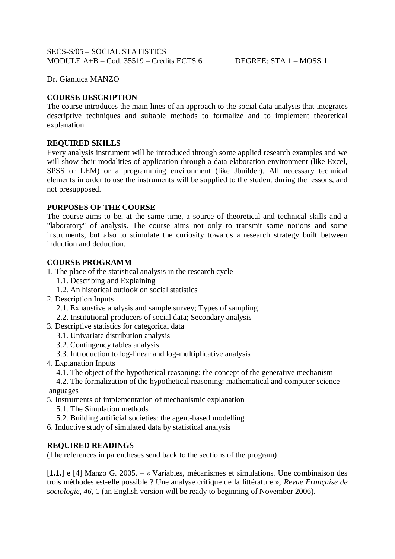Dr. Gianluca MANZO

# **COURSE DESCRIPTION**

The course introduces the main lines of an approach to the social data analysis that integrates descriptive techniques and suitable methods to formalize and to implement theoretical explanation

## **REQUIRED SKILLS**

Every analysis instrument will be introduced through some applied research examples and we will show their modalities of application through a data elaboration environment (like Excel, SPSS or LEM) or a programming environment (like Jbuilder). All necessary technical elements in order to use the instruments will be supplied to the student during the lessons, and not presupposed.

## **PURPOSES OF THE COURSE**

The course aims to be, at the same time, a source of theoretical and technical skills and a "laboratory" of analysis. The course aims not only to transmit some notions and some instruments, but also to stimulate the curiosity towards a research strategy built between induction and deduction.

## **COURSE PROGRAMM**

- 1. The place of the statistical analysis in the research cycle
	- 1.1. Describing and Explaining
	- 1.2. An historical outlook on social statistics
- 2. Description Inputs
	- 2.1. Exhaustive analysis and sample survey; Types of sampling
	- 2.2. Institutional producers of social data; Secondary analysis
- 3. Descriptive statistics for categorical data
	- 3.1. Univariate distribution analysis
	- 3.2. Contingency tables analysis
	- 3.3. Introduction to log-linear and log-multiplicative analysis
- 4. Explanation Inputs
	- 4.1. The object of the hypothetical reasoning: the concept of the generative mechanism
- 4.2. The formalization of the hypothetical reasoning: mathematical and computer science languages
- 5. Instruments of implementation of mechanismic explanation
	- 5.1. The Simulation methods
- 5.2. Building artificial societies: the agent-based modelling
- 6. Inductive study of simulated data by statistical analysis

## **REQUIRED READINGS**

(The references in parentheses send back to the sections of the program)

[**1.1.**] e [**4**] Manzo G. 2005. – « Variables, mécanismes et simulations. Une combinaison des trois méthodes est-elle possible ? Une analyse critique de la littérature », *Revue Française de sociologie, 46*, 1 (an English version will be ready to beginning of November 2006).